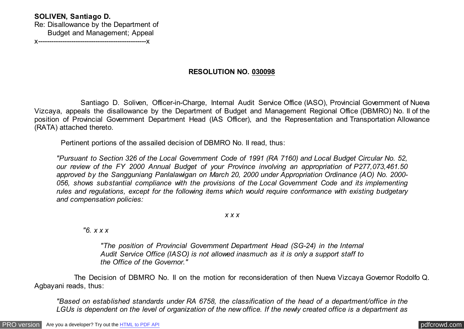## **SOLIVEN, Santiago D.**

Re: Disallowance by the Department of Budget and Management; Appeal x-------------------------------------------------x

## **RESOLUTION NO. 030098**

 Santiago D. Soliven, Officer-in-Charge, Internal Audit Service Office (IASO), Provincial Government of Nueva Vizcaya, appeals the disallowance by the Department of Budget and Management Regional Office (DBMRO) No. II of the position of Provincial Government Department Head (IAS Officer), and the Representation and Transportation Allowance (RATA) attached thereto.

Pertinent portions of the assailed decision of DBMRO No. II read, thus:

*"Pursuant to Section 326 of the Local Government Code of 1991 (RA 7160) and Local Budget Circular No. 52, our review of the FY 2000 Annual Budget of your Province involving an appropriation of P277,073,461.50 approved by the Sangguniang Panlalawigan on March 20, 2000 under Appropriation Ordinance (AO) No. 2000- 056, shows substantial compliance with the provisions of the Local Government Code and its implementing rules and regulations, except for the following items which would require conformance with existing budgetary and compensation policies:*

*x x x*

 *"6. x x x*

*"The position of Provincial Government Department Head (SG-24) in the Internal Audit Service Office (IASO) is not allowed inasmuch as it is only a support staff to the Office of the Governor."*

 The Decision of DBMRO No. II on the motion for reconsideration of then Nueva Vizcaya Governor Rodolfo Q. Agbayani reads, thus:

*"Based on established standards under RA 6758, the classification of the head of a department/office in the LGUs is dependent on the level of organization of the new office. If the newly created office is a department as*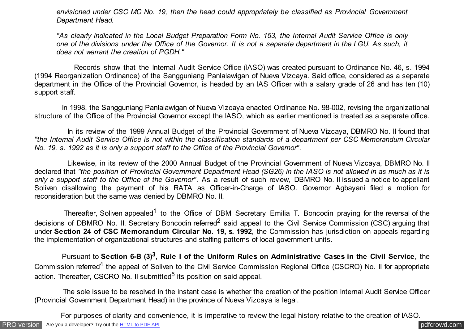*envisioned under CSC MC No. 19, then the head could appropriately be classified as Provincial Government Department Head.*

*"As clearly indicated in the Local Budget Preparation Form No. 153, the Internal Audit Service Office is only one of the divisions under the Office of the Governor. It is not a separate department in the LGU. As such, it does not warrant the creation of PGDH."*

 Records show that the Internal Audit Service Office (IASO) was created pursuant to Ordinance No. 46, s. 1994 (1994 Reorganization Ordinance) of the Sangguniang Panlalawigan of Nueva Vizcaya. Said office, considered as a separate department in the Office of the Provincial Governor, is headed by an IAS Officer with a salary grade of 26 and has ten (10) support staff.

 In 1998, the Sangguniang Panlalawigan of Nueva Vizcaya enacted Ordinance No. 98-002, revising the organizational structure of the Office of the Provincial Governor except the IASO, which as earlier mentioned is treated as a separate office.

 In its review of the 1999 Annual Budget of the Provincial Government of Nueva Vizcaya, DBMRO No. II found that *"the Internal Audit Service Office is not within the classification standards of a department per CSC Memorandum Circular No. 19, s. 1992 as it is only a support staff to the Office of the Provincial Governor"*.

 Likewise, in its review of the 2000 Annual Budget of the Provincial Government of Nueva Vizcaya, DBMRO No. II declared that *"the position of Provincial Government Department Head (SG26) in the IASO is not allowed in as much as it is only a support staff to the Office of the Governor"*. As a result of such review, DBMRO No. II issued a notice to appellant Soliven disallowing the payment of his RATA as Officer-in-Charge of IASO. Governor Agbayani filed a motion for reconsideration but the same was denied by DBMRO No. II.

Thereafter, Soliven appealed<sup>1</sup> to the Office of DBM Secretary Emilia T. Boncodin praying for the reversal of the decisions of DBMRO No. Il. Secretary Boncodin referred<sup>2</sup> said appeal to the Civil Service Commission (CSC) arguing that under **Section 24 of CSC Memorandum Circular No. 19, s. 1992**, the Commission has jurisdiction on appeals regarding the implementation of organizational structures and staffing patterns of local government units.

 Pursuant to **Section 6-B (3)<sup>3</sup>** , **Rule I of the Uniform Rules on Administrative Cases in the Civil Service**, the Commission referred<sup>4</sup> the appeal of Soliven to the Civil Service Commission Regional Office (CSCRO) No. Il for appropriate action. Thereafter, CSCRO No. Il submitted<sup>5</sup> its position on said appeal.

 The sole issue to be resolved in the instant case is whether the creation of the position Internal Audit Service Officer (Provincial Government Department Head) in the province of Nueva Vizcaya is legal.

For purposes of clarity and convenience, it is imperative to review the legal history relative to the creation of IASO.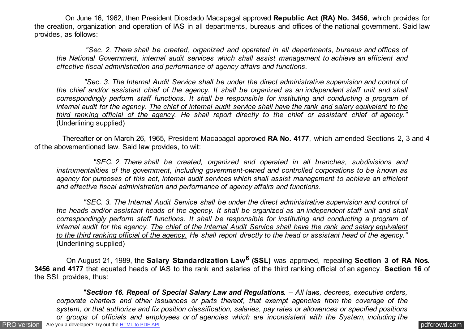On June 16, 1962, then President Diosdado Macapagal approved **Republic Act (RA) No. 3456**, which provides for the creation, organization and operation of IAS in all departments, bureaus and offices of the national government. Said law provides, as follows:

 *"Sec. 2. There shall be created, organized and operated in all departments, bureaus and offices of the National Government, internal audit services which shall assist management to achieve an efficient and effective fiscal administration and performance of agency affairs and functions.*

 *"Sec. 3. The Internal Audit Service shall be under the direct administrative supervision and control of the chief and/or assistant chief of the agency. It shall be organized as an independent staff unit and shall correspondingly perform staff functions. It shall be responsible for instituting and conducting a program of internal audit for the agency. The chief of internal audit service shall have the rank and salary equivalent to the third ranking official of the agency. He shall report directly to the chief or assistant chief of agency."* (Underlining supplied)

 Thereafter or on March 26, 1965, President Macapagal approved **RA No. 4177**, which amended Sections 2, 3 and 4 of the abovementioned law. Said law provides, to wit:

 *"SEC. 2. There shall be created, organized and operated in all branches, subdivisions and instrumentalities of the government, including government-owned and controlled corporations to be known as agency for purposes of this act, internal audit services which shall assist management to achieve an efficient and effective fiscal administration and performance of agency affairs and functions.*

 *"SEC. 3. The Internal Audit Service shall be under the direct administrative supervision and control of the heads and/or assistant heads of the agency. It shall be organized as an independent staff unit and shall correspondingly perform staff functions. It shall be responsible for instituting and conducting a program of internal audit for the agency. The chief of the Internal Audit Service shall have the rank and salary equivalent to the third ranking official of the agency. He shall report directly to the head or assistant head of the agency."* (Underlining supplied)

 On August 21, 1989, the **Salary Standardization Law<sup>6</sup> (SSL)** was approved, repealing **Section 3 of RA Nos. 3456 and 4177** that equated heads of IAS to the rank and salaries of the third ranking official of an agency. **Section 16** of the SSL provides, thus:

[PRO version](http://pdfcrowd.com/customize/) Are you a developer? Try out th[e HTML to PDF API](http://pdfcrowd.com/html-to-pdf-api/?ref=pdf) process and the example of the HTML to PDF API [pdfcrowd.com](http://pdfcrowd.com)  *"Section 16. Repeal of Special Salary Law and Regulations. – All laws, decrees, executive orders, corporate charters and other issuances or parts thereof, that exempt agencies from the coverage of the system, or that authorize and fix position classification, salaries, pay rates or allowances or specified positions or groups of officials and employees or of agencies which are inconsistent with the System, including the*

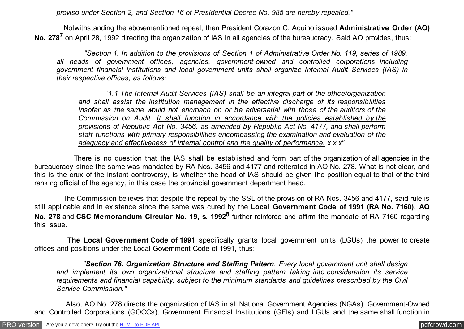*or groups of officials and employees or of agencies which are inconsistent with the System, including the proviso under Section 2, and Section 16 of Presidential Decree No. 985 are hereby repealed."*

 Notwithstanding the abovementioned repeal, then President Corazon C. Aquino issued **Administrative Order (AO) No. 278<sup>7</sup> on April 28, 1992 directing the organization of IAS in all agencies of the bureaucracy. Said AO provides, thus:** 

 *"Section 1. In addition to the provisions of Section 1 of Administrative Order No. 119, series of 1989, all heads of government offices, agencies, government-owned and controlled corporations, including government financial institutions and local government units shall organize Internal Audit Services (IAS) in their respective offices, as follows:*

 *`1.1 The Internal Audit Services (IAS) shall be an integral part of the office/organization and shall assist the institution management in the effective discharge of its responsibilities insofar as the same would not encroach on or be adversarial with those of the auditors of the Commission on Audit. It shall function in accordance with the policies established by the provisions of Republic Act No. 3456, as amended by Republic Act No. 4177, and shall perform staff functions with primary responsibilities encompassing the examination and evaluation of the adequacy and effectiveness of internal control and the quality of performance. x x x"*

 There is no question that the IAS shall be established and form part of the organization of all agencies in the bureaucracy since the same was mandated by RA Nos. 3456 and 4177 and reiterated in AO No. 278. What is not clear, and this is the crux of the instant controversy, is whether the head of IAS should be given the position equal to that of the third ranking official of the agency, in this case the provincial government department head.

 The Commission believes that despite the repeal by the SSL of the provision of RA Nos. 3456 and 4177, said rule is still applicable and in existence since the same was cured by the **Local Government Code of 1991 (RA No. 7160)**. **AO No. 278** and **CSC Memorandum Circular No. 19, s. 1992<sup>8</sup>** further reinforce and affirm the mandate of RA 7160 regarding this issue.

 **The Local Government Code of 1991** specifically grants local government units (LGUs) the power to create offices and positions under the Local Government Code of 1991, thus:

 *"Section 76. Organization Structure and Staffing Pattern. Every local government unit shall design and implement its own organizational structure and staffing pattern taking into consideration its service requirements and financial capability, subject to the minimum standards and guidelines prescribed by the Civil Service Commission."*

 Also, AO No. 278 directs the organization of IAS in all National Government Agencies (NGAs), Government-Owned and Controlled Corporations (GOCCs), Government Financial Institutions (GFIs) and LGUs and the same shall function in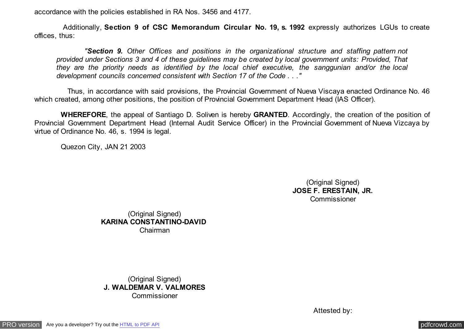accordance with the policies established in RA Nos. 3456 and 4177.

 Additionally, **Section 9 of CSC Memorandum Circular No. 19, s. 1992** expressly authorizes LGUs to create offices, thus:

 *"Section 9. Other Offices and positions in the organizational structure and staffing pattern not provided under Sections 3 and 4 of these guidelines may be created by local government units: Provided, That they are the priority needs as identified by the local chief executive, the sanggunian and/or the local development councils concerned consistent with Section 17 of the Code . . ."*

 Thus, in accordance with said provisions, the Provincial Government of Nueva Viscaya enacted Ordinance No. 46 which created, among other positions, the position of Provincial Government Department Head (IAS Officer).

 **WHEREFORE**, the appeal of Santiago D. Soliven is hereby **GRANTED**. Accordingly, the creation of the position of Provincial Government Department Head (Internal Audit Service Officer) in the Provincial Government of Nueva Vizcaya by virtue of Ordinance No. 46, s. 1994 is legal.

Quezon City, JAN 21 2003

(Original Signed) **JOSE F. ERESTAIN, JR.** Commissioner

(Original Signed) **KARINA CONSTANTINO-DAVID**  Chairman

(Original Signed) **J. WALDEMAR V. VALMORES Commissioner** 

Attested by: